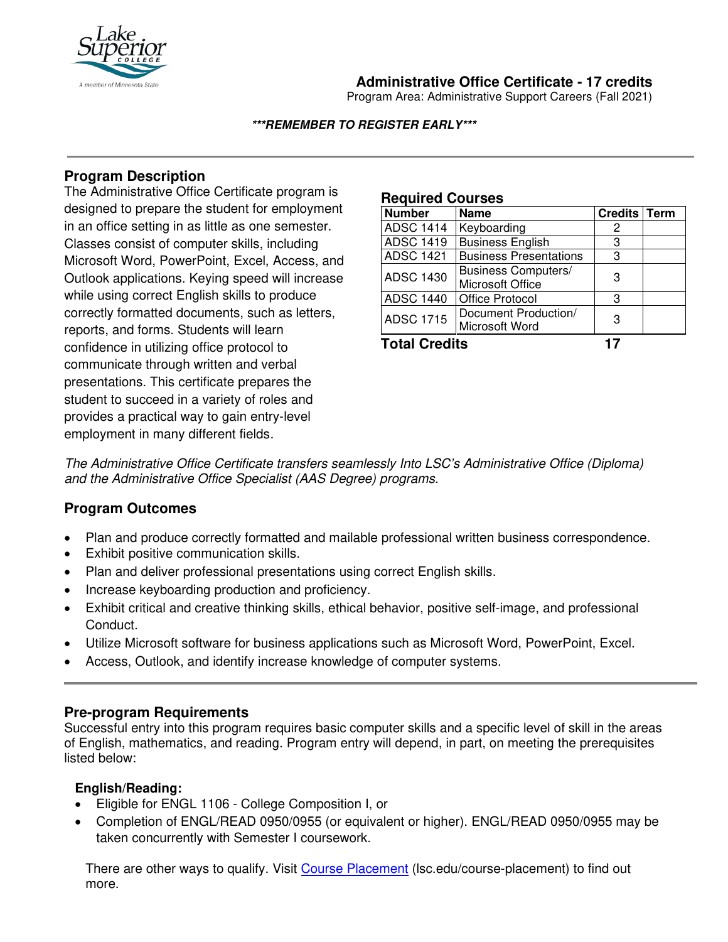

# **Administrative Office Certificate - 17 credits**

Program Area: Administrative Support Careers (Fall 2021)

#### **\*\*\*REMEMBER TO REGISTER EARLY\*\*\***

## **Program Description**

The Administrative Office Certificate program is designed to prepare the student for employment in an office setting in as little as one semester. Classes consist of computer skills, including Microsoft Word, PowerPoint, Excel, Access, and Outlook applications. Keying speed will increase while using correct English skills to produce correctly formatted documents, such as letters, reports, and forms. Students will learn confidence in utilizing office protocol to communicate through written and verbal presentations. This certificate prepares the student to succeed in a variety of roles and provides a practical way to gain entry-level employment in many different fields*.*

#### **Required Courses**

| <b>Number</b>    | <b>Name</b>                   | Credits   Term |  |
|------------------|-------------------------------|----------------|--|
| <b>ADSC 1414</b> | Keyboarding                   | 2              |  |
| <b>ADSC 1419</b> | <b>Business English</b>       | 3              |  |
| <b>ADSC 1421</b> | <b>Business Presentations</b> | 3              |  |
| <b>ADSC 1430</b> | <b>Business Computers/</b>    | 3              |  |
|                  | Microsoft Office              |                |  |
| <b>ADSC 1440</b> | <b>Office Protocol</b>        | З              |  |
| <b>ADSC 1715</b> | Document Production/          | З              |  |
|                  | Microsoft Word                |                |  |

**Total Credits 17**

*The Administrative Office Certificate transfers seamlessly Into LSC's Administrative Office (Diploma) and the Administrative Office Specialist (AAS Degree) programs.*

## **Program Outcomes**

- Plan and produce correctly formatted and mailable professional written business correspondence.
- Exhibit positive communication skills.
- Plan and deliver professional presentations using correct English skills.
- Increase keyboarding production and proficiency.
- Exhibit critical and creative thinking skills, ethical behavior, positive self-image, and professional Conduct.
- Utilize Microsoft software for business applications such as Microsoft Word, PowerPoint, Excel.
- Access, Outlook, and identify increase knowledge of computer systems.

## **Pre-program Requirements**

Successful entry into this program requires basic computer skills and a specific level of skill in the areas of English, mathematics, and reading. Program entry will depend, in part, on meeting the prerequisites listed below:

## **English/Reading:**

- Eligible for ENGL 1106 College Composition I, or
- Completion of ENGL/READ 0950/0955 (or equivalent or higher). ENGL/READ 0950/0955 may be taken concurrently with Semester I coursework.

There are other ways to qualify. Visit [Course Placement](https://www.lsc.edu/course-placement/) (Isc.edu/course-placement) to find out more.